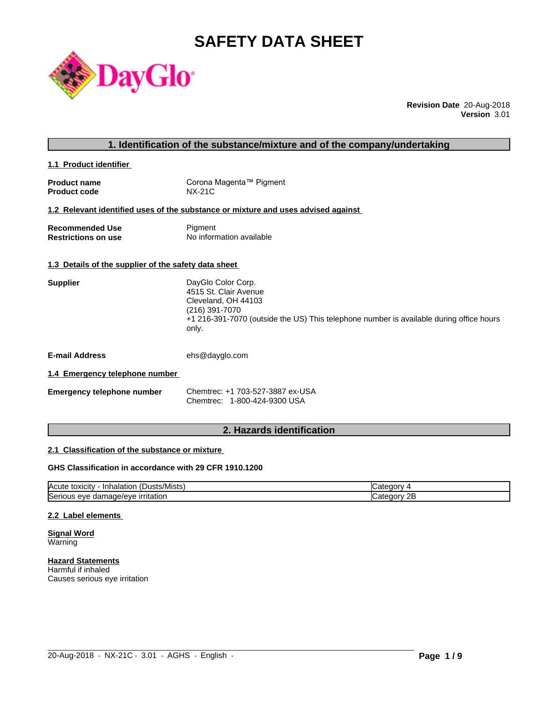# **SAFETY DATA SHEET**



**Revision Date** 20-Aug-2018 **Version** 3.01

# **1. Identification of the substance/mixture and of the company/undertaking**

**1.1 Product identifier** 

| <b>Product name</b> | Corona Magenta™ Pigment |
|---------------------|-------------------------|
| <b>Product code</b> | NX-21C                  |

### **1.2 Relevant identified uses of the substance or mixture and uses advised against**

| <b>Recommended Use</b>     | Pigment                  |
|----------------------------|--------------------------|
| <b>Restrictions on use</b> | No information available |

#### **1.3 Details of the supplier of the safety data sheet**

| 4515 St. Clair Avenue<br>Cleveland, OH 44103<br>(216) 391-7070<br>+1 216-391-7070 (outside the US) This telephone number is available during office hours | <b>Supplier</b> | DayGlo Color Corp. |
|-----------------------------------------------------------------------------------------------------------------------------------------------------------|-----------------|--------------------|
|                                                                                                                                                           |                 |                    |
|                                                                                                                                                           |                 |                    |
|                                                                                                                                                           |                 |                    |
|                                                                                                                                                           |                 | only.              |

**E-mail Address** ehs@dayglo.com

#### **1.4 Emergency telephone number**

| Emergency telephone number | Chemtrec: +1 703-527-3887 ex-USA |
|----------------------------|----------------------------------|
|                            | Chemtrec: 1-800-424-9300 USA     |

# **2. Hazards identification**

#### **2.1 Classification of the substance or mixture**

### **GHS Classification in accordance with 29 CFR 1910.1200**

| <b>IAcute</b><br>Inhalatio.<br>(Dusts/Mistsˈ<br>toxicity   | זנזר                          |
|------------------------------------------------------------|-------------------------------|
| Seri<br>irritation<br>nage/eve<br>s eve<br>aar<br>ுபட<br>. | חר<br>morv<br><u>_</u><br>. . |

 $\_$  ,  $\_$  ,  $\_$  ,  $\_$  ,  $\_$  ,  $\_$  ,  $\_$  ,  $\_$  ,  $\_$  ,  $\_$  ,  $\_$  ,  $\_$  ,  $\_$  ,  $\_$  ,  $\_$  ,  $\_$  ,  $\_$  ,  $\_$  ,  $\_$  ,  $\_$  ,  $\_$  ,  $\_$  ,  $\_$  ,  $\_$  ,  $\_$  ,  $\_$  ,  $\_$  ,  $\_$  ,  $\_$  ,  $\_$  ,  $\_$  ,  $\_$  ,  $\_$  ,  $\_$  ,  $\_$  ,  $\_$  ,  $\_$  ,

#### **2.2 Label elements**

**Signal Word** Warning

**Hazard Statements** Harmful if inhaled Causes serious eye irritation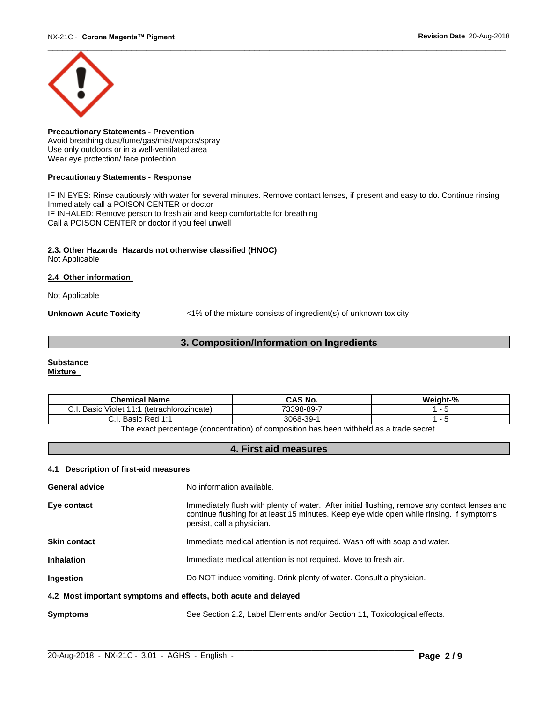

**Precautionary Statements - Prevention** Avoid breathing dust/fume/gas/mist/vapors/spray Use only outdoors or in a well-ventilated area Wear eye protection/ face protection

#### **Precautionary Statements - Response**

IF IN EYES: Rinse cautiously with water for several minutes. Remove contact lenses, if present and easy to do. Continue rinsing Immediately call a POISON CENTER or doctor IF INHALED: Remove person to fresh air and keep comfortable for breathing Call a POISON CENTER or doctor if you feel unwell

#### **2.3. Other Hazards Hazards not otherwise classified (HNOC)**

Not Applicable

#### **2.4 Other information**

Not Applicable

**Unknown Acute Toxicity**  $\langle 1\%$  of the mixture consists of ingredient(s) of unknown toxicity

# **3. Composition/Information on Ingredients**

# **Substance**

**Mixture**

| <b>Chemical Name</b>                                     | <b>CAS No.</b>  | .<br>Weiaht-% |
|----------------------------------------------------------|-----------------|---------------|
| $\cdots$<br>Basic<br>(tetrachlorozincate)<br>Violet<br>◡ | 73398-89-       |               |
| ~<br>Red<br><b>Basic</b><br>                             | $3068 - 39 - 1$ |               |

The exact percentage (concentration) of composition has been withheld as a trade secret.

# **4. First aid measures**

## **4.1 Description of first-aid measures**

| <b>General advice</b>                                           | No information available.                                                                                                                                                                                               |  |  |
|-----------------------------------------------------------------|-------------------------------------------------------------------------------------------------------------------------------------------------------------------------------------------------------------------------|--|--|
| Eye contact                                                     | Immediately flush with plenty of water. After initial flushing, remove any contact lenses and<br>continue flushing for at least 15 minutes. Keep eye wide open while rinsing. If symptoms<br>persist, call a physician. |  |  |
| <b>Skin contact</b>                                             | Immediate medical attention is not required. Wash off with soap and water.                                                                                                                                              |  |  |
| <b>Inhalation</b>                                               | Immediate medical attention is not required. Move to fresh air.                                                                                                                                                         |  |  |
| Ingestion                                                       | Do NOT induce vomiting. Drink plenty of water. Consult a physician.                                                                                                                                                     |  |  |
| 4.2 Most important symptoms and effects, both acute and delayed |                                                                                                                                                                                                                         |  |  |
| <b>Symptoms</b>                                                 | See Section 2.2, Label Elements and/or Section 11, Toxicological effects.                                                                                                                                               |  |  |
|                                                                 |                                                                                                                                                                                                                         |  |  |

 $\_$  ,  $\_$  ,  $\_$  ,  $\_$  ,  $\_$  ,  $\_$  ,  $\_$  ,  $\_$  ,  $\_$  ,  $\_$  ,  $\_$  ,  $\_$  ,  $\_$  ,  $\_$  ,  $\_$  ,  $\_$  ,  $\_$  ,  $\_$  ,  $\_$  ,  $\_$  ,  $\_$  ,  $\_$  ,  $\_$  ,  $\_$  ,  $\_$  ,  $\_$  ,  $\_$  ,  $\_$  ,  $\_$  ,  $\_$  ,  $\_$  ,  $\_$  ,  $\_$  ,  $\_$  ,  $\_$  ,  $\_$  ,  $\_$  ,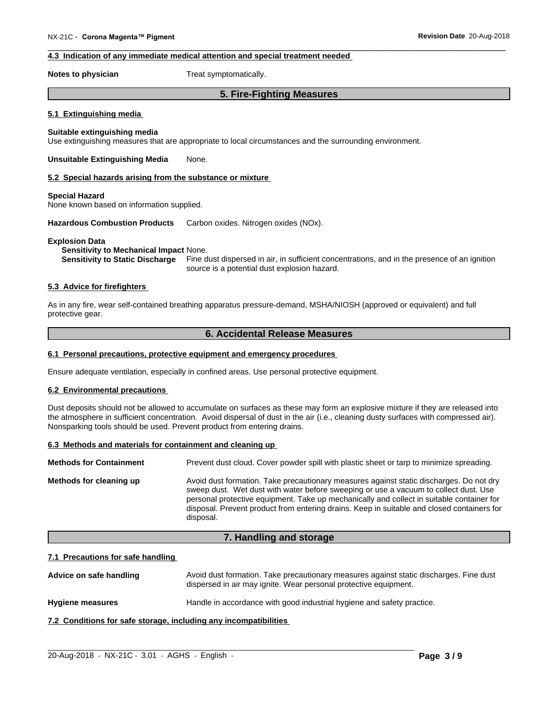#### **4.3 Indication of any immediate medical attention and special treatment needed**

**Notes to physician** Treat symptomatically.

# **5. Fire-Fighting Measures**

#### **5.1 Extinguishing media**

#### **Suitable extinguishing media**

Use extinguishing measures that are appropriate to local circumstances and the surrounding environment.

**Unsuitable Extinguishing Media** None.

#### **5.2 Special hazards arising from the substance or mixture**

#### **Special Hazard**

None known based on information supplied.

**Hazardous Combustion Products** Carbon oxides. Nitrogen oxides (NOx).

#### **Explosion Data**

#### **Sensitivity to Mechanical Impact** None.

**Sensitivity to Static Discharge** Fine dust dispersed in air, in sufficient concentrations, and in the presence of an ignition source is a potential dust explosion hazard.

#### **5.3 Advice for firefighters**

As in any fire, wear self-contained breathing apparatus pressure-demand, MSHA/NIOSH (approved or equivalent) and full protective gear.

### **6. Accidental Release Measures**

#### **6.1 Personal precautions, protective equipment and emergency procedures**

Ensure adequate ventilation, especially in confined areas. Use personal protective equipment.

#### **6.2 Environmental precautions**

Dust deposits should not be allowed to accumulate on surfaces as these may form an explosive mixture if they are released into the atmosphere in sufficient concentration. Avoid dispersal of dust in the air (i.e., cleaning dusty surfaces with compressed air). Nonsparking tools should be used. Prevent product from entering drains.

#### **6.3 Methods and materials for containment and cleaning up**

| <b>Methods for Containment</b> | Prevent dust cloud. Cover powder spill with plastic sheet or tarp to minimize spreading.                                                                                                                                                                                                                                                                                                |
|--------------------------------|-----------------------------------------------------------------------------------------------------------------------------------------------------------------------------------------------------------------------------------------------------------------------------------------------------------------------------------------------------------------------------------------|
| Methods for cleaning up        | Avoid dust formation. Take precautionary measures against static discharges. Do not dry<br>sweep dust. Wet dust with water before sweeping or use a vacuum to collect dust. Use<br>personal protective equipment. Take up mechanically and collect in suitable container for<br>disposal. Prevent product from entering drains. Keep in suitable and closed containers for<br>disposal. |

#### **7. Handling and storage**

#### **7.1 Precautions for safe handling**

Advice on safe handling **Avoid dust formation. Take precautionary measures against static discharges. Fine dust** dispersed in air may ignite. Wear personal protective equipment.

 $\_$  ,  $\_$  ,  $\_$  ,  $\_$  ,  $\_$  ,  $\_$  ,  $\_$  ,  $\_$  ,  $\_$  ,  $\_$  ,  $\_$  ,  $\_$  ,  $\_$  ,  $\_$  ,  $\_$  ,  $\_$  ,  $\_$  ,  $\_$  ,  $\_$  ,  $\_$  ,  $\_$  ,  $\_$  ,  $\_$  ,  $\_$  ,  $\_$  ,  $\_$  ,  $\_$  ,  $\_$  ,  $\_$  ,  $\_$  ,  $\_$  ,  $\_$  ,  $\_$  ,  $\_$  ,  $\_$  ,  $\_$  ,  $\_$  ,

#### **Hygiene measures** Handle in accordance with good industrial hygiene and safety practice.

**7.2 Conditions for safe storage, including any incompatibilities**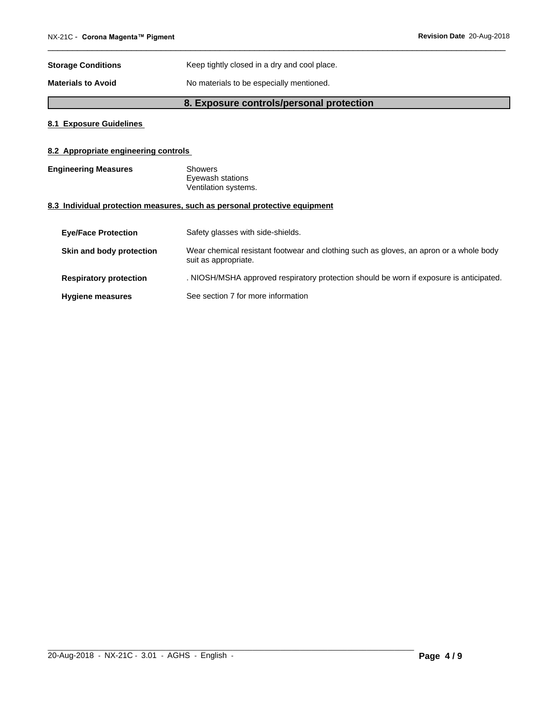| <b>Storage Conditions</b> | Keep tightly closed in a dry and cool place. |
|---------------------------|----------------------------------------------|
| <b>Materials to Avoid</b> | No materials to be especially mentioned.     |

# **8. Exposure controls/personal protection**

### **8.1 Exposure Guidelines**

# **8.2 Appropriate engineering controls**

| <b>Engineering Measures</b> | Showers              |  |
|-----------------------------|----------------------|--|
|                             | Eyewash stations     |  |
|                             | Ventilation systems. |  |

### **8.3 Individual protection measures, such as personal protective equipment**

| <b>Eve/Face Protection</b>    | Safety glasses with side-shields.                                                                              |
|-------------------------------|----------------------------------------------------------------------------------------------------------------|
| Skin and body protection      | Wear chemical resistant footwear and clothing such as gloves, an apron or a whole body<br>suit as appropriate. |
| <b>Respiratory protection</b> | . NIOSH/MSHA approved respiratory protection should be worn if exposure is anticipated.                        |
| <b>Hygiene measures</b>       | See section 7 for more information                                                                             |

 $\_$  ,  $\_$  ,  $\_$  ,  $\_$  ,  $\_$  ,  $\_$  ,  $\_$  ,  $\_$  ,  $\_$  ,  $\_$  ,  $\_$  ,  $\_$  ,  $\_$  ,  $\_$  ,  $\_$  ,  $\_$  ,  $\_$  ,  $\_$  ,  $\_$  ,  $\_$  ,  $\_$  ,  $\_$  ,  $\_$  ,  $\_$  ,  $\_$  ,  $\_$  ,  $\_$  ,  $\_$  ,  $\_$  ,  $\_$  ,  $\_$  ,  $\_$  ,  $\_$  ,  $\_$  ,  $\_$  ,  $\_$  ,  $\_$  ,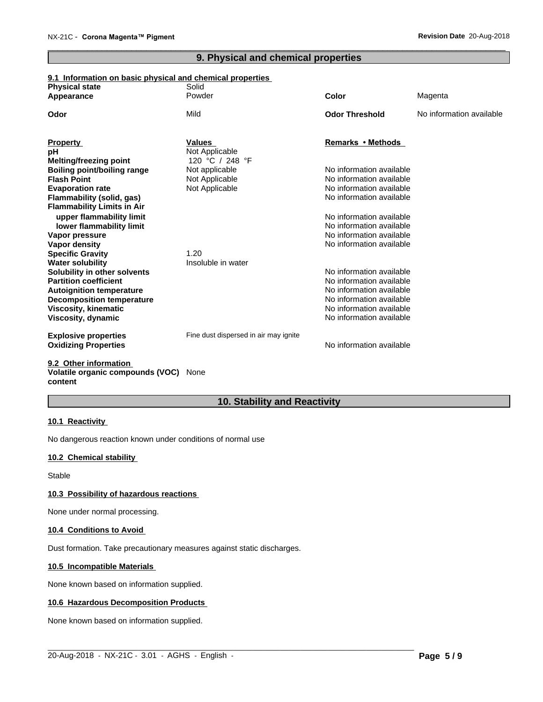# **9. Physical and chemical properties**

## **9.1 Information on basic physical and chemical properties**

| <b>Physical state</b>              | Solid                                 |                          |                          |
|------------------------------------|---------------------------------------|--------------------------|--------------------------|
| Appearance                         | Powder                                | <b>Color</b>             | Magenta                  |
| Odor                               | Mild                                  | <b>Odor Threshold</b>    | No information available |
| <b>Property</b>                    | <b>Values</b>                         | Remarks • Methods        |                          |
| рH                                 | Not Applicable                        |                          |                          |
| <b>Melting/freezing point</b>      | 120 °C / 248 °F                       |                          |                          |
| <b>Boiling point/boiling range</b> | Not applicable                        | No information available |                          |
| <b>Flash Point</b>                 | Not Applicable                        | No information available |                          |
| <b>Evaporation rate</b>            | Not Applicable                        | No information available |                          |
| Flammability (solid, gas)          |                                       | No information available |                          |
| <b>Flammability Limits in Air</b>  |                                       |                          |                          |
| upper flammability limit           |                                       | No information available |                          |
| lower flammability limit           |                                       | No information available |                          |
| Vapor pressure                     |                                       | No information available |                          |
| Vapor density                      |                                       | No information available |                          |
| <b>Specific Gravity</b>            | 1.20                                  |                          |                          |
| <b>Water solubility</b>            | Insoluble in water                    |                          |                          |
| Solubility in other solvents       |                                       | No information available |                          |
| <b>Partition coefficient</b>       |                                       | No information available |                          |
| <b>Autoignition temperature</b>    |                                       | No information available |                          |
| <b>Decomposition temperature</b>   |                                       | No information available |                          |
| <b>Viscosity, kinematic</b>        |                                       | No information available |                          |
| Viscosity, dynamic                 |                                       | No information available |                          |
| <b>Explosive properties</b>        | Fine dust dispersed in air may ignite |                          |                          |
| <b>Oxidizing Properties</b>        |                                       | No information available |                          |
| 0.0. Other information             |                                       |                          |                          |

#### **9.2 Other information Volatile organic compounds (VOC)** None **content**

# **10. Stability and Reactivity**

#### **10.1 Reactivity**

No dangerous reaction known under conditions of normal use

# **10.2 Chemical stability**

Stable

#### **10.3 Possibility of hazardous reactions**

None under normal processing.

#### **10.4 Conditions to Avoid**

Dust formation. Take precautionary measures against static discharges.

#### **10.5 Incompatible Materials**

None known based on information supplied.

#### **10.6 Hazardous Decomposition Products**

None known based on information supplied.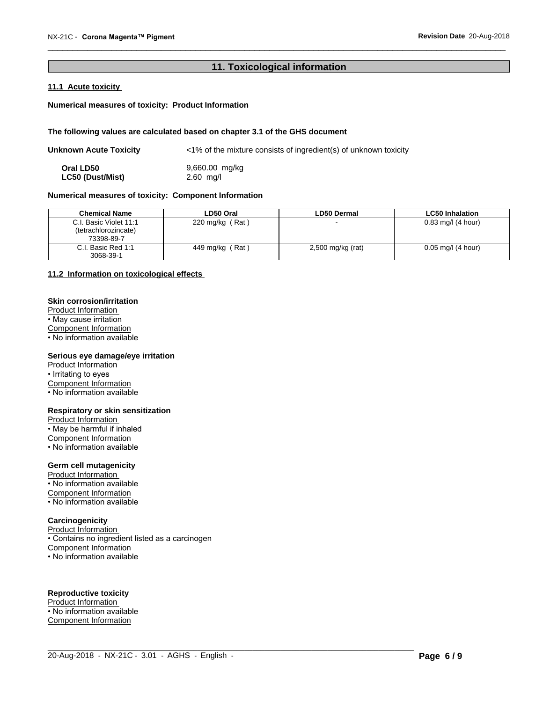# **11. Toxicological information**

# **11.1 Acute toxicity**

#### **Numerical measures of toxicity: Product Information**

#### **The following values are calculated based on chapter 3.1 of the GHS document**

| Unknown Acute Toxicity  | $\langle 1\%$ of the mixture consists of ingredient(s) of unknown toxicity |
|-------------------------|----------------------------------------------------------------------------|
| Oral LD50               | 9,660.00 mg/kg                                                             |
| <b>LC50 (Dust/Mist)</b> | $2.60$ mg/l                                                                |

#### **Numerical measures of toxicity: Component Information**

| <b>Chemical Name</b>   | LD50 Oral          | <b>LD50 Dermal</b>       | <b>LC50 Inhalation</b>          |
|------------------------|--------------------|--------------------------|---------------------------------|
| C.I. Basic Violet 11:1 | 220 mg/kg (Rat)    | $\overline{\phantom{0}}$ | $0.83$ mg/l (4 hour)            |
| (tetrachlorozincate)   |                    |                          |                                 |
| 73398-89-7             |                    |                          |                                 |
| C.I. Basic Red 1:1     | (Rat)<br>449 mg/kg | 2,500 mg/kg (rat)        | $0.05 \,\mathrm{mg}/I$ (4 hour) |
| 3068-39-1              |                    |                          |                                 |

 $\_$  ,  $\_$  ,  $\_$  ,  $\_$  ,  $\_$  ,  $\_$  ,  $\_$  ,  $\_$  ,  $\_$  ,  $\_$  ,  $\_$  ,  $\_$  ,  $\_$  ,  $\_$  ,  $\_$  ,  $\_$  ,  $\_$  ,  $\_$  ,  $\_$  ,  $\_$  ,  $\_$  ,  $\_$  ,  $\_$  ,  $\_$  ,  $\_$  ,  $\_$  ,  $\_$  ,  $\_$  ,  $\_$  ,  $\_$  ,  $\_$  ,  $\_$  ,  $\_$  ,  $\_$  ,  $\_$  ,  $\_$  ,  $\_$  ,

#### **11.2 Information on toxicologicaleffects**

#### **Skin corrosion/irritation**

Product Information • May cause irritation Component Information • No information available

#### **Serious eye damage/eye irritation**

Product Information • Irritating to eyes

Component Information

• No information available

#### **Respiratory or skin sensitization**

Product Information

• May be harmful if inhaled

Component Information

• No information available

#### **Germ cell mutagenicity**

Product Information • No information available Component Information • No information available

#### **Carcinogenicity**

Product Information • Contains no ingredient listed as a carcinogen Component Information • No information available

#### **Reproductive toxicity**

Product Information • No information available Component Information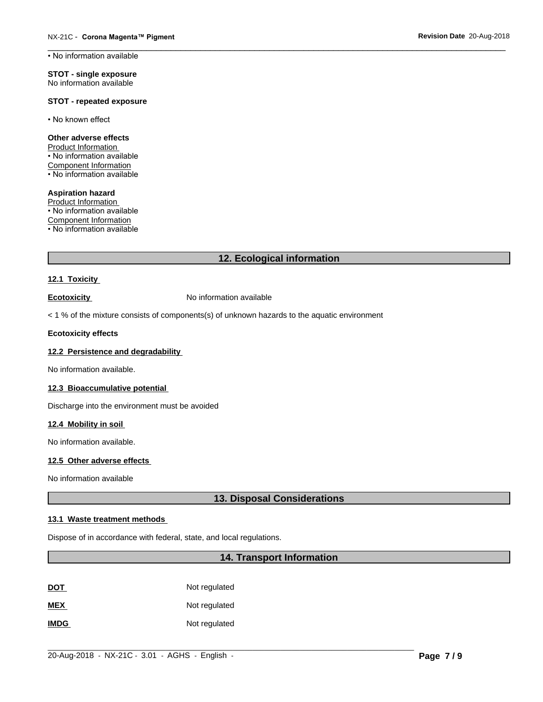• No information available

**STOT - single exposure** No information available

#### **STOT - repeated exposure**

• No known effect

#### **Other adverse effects**

Product Information • No information available Component Information • No information available

**Aspiration hazard** Product Information • No information available Component Information • No information available

# **12. Ecological information**

#### **12.1 Toxicity**

**Ecotoxicity No information available** 

 $<$  1 % of the mixture consists of components(s) of unknown hazards to the aquatic environment

#### **Ecotoxicity effects**

# **12.2 Persistence and degradability**

No information available.

#### **12.3 Bioaccumulative potential**

Discharge into the environment must be avoided

### **12.4 Mobility in soil**

No information available.

#### **12.5 Other adverse effects**

No information available

# **13. Disposal Considerations**

#### **13.1 Waste treatment methods**

Dispose of in accordance with federal, state, and local regulations.

# **14. Transport Information**

 $\_$  ,  $\_$  ,  $\_$  ,  $\_$  ,  $\_$  ,  $\_$  ,  $\_$  ,  $\_$  ,  $\_$  ,  $\_$  ,  $\_$  ,  $\_$  ,  $\_$  ,  $\_$  ,  $\_$  ,  $\_$  ,  $\_$  ,  $\_$  ,  $\_$  ,  $\_$  ,  $\_$  ,  $\_$  ,  $\_$  ,  $\_$  ,  $\_$  ,  $\_$  ,  $\_$  ,  $\_$  ,  $\_$  ,  $\_$  ,  $\_$  ,  $\_$  ,  $\_$  ,  $\_$  ,  $\_$  ,  $\_$  ,  $\_$  ,

| <u>DOT</u> | Not regulated |
|------------|---------------|
| <b>MEX</b> | Not regulated |

**IMDG** Not regulated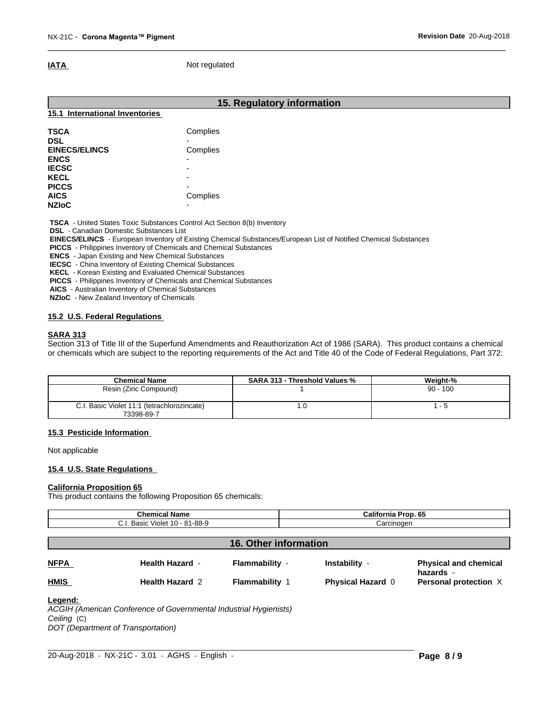#### **IATA** Not regulated

|                                | 15. Regulatory information |  |
|--------------------------------|----------------------------|--|
| 15.1 International Inventories |                            |  |
| <b>TSCA</b>                    | Complies                   |  |
| <b>DSL</b>                     | $\overline{\phantom{0}}$   |  |
| <b>EINECS/ELINCS</b>           | Complies                   |  |
| <b>ENCS</b>                    | $\overline{\phantom{0}}$   |  |
| <b>IECSC</b>                   | ٠                          |  |
| <b>KECL</b>                    | $\overline{\phantom{a}}$   |  |
| <b>PICCS</b>                   | ۰                          |  |
| <b>AICS</b>                    | Complies                   |  |
| <b>NZIoC</b>                   | ٠                          |  |

 **TSCA** - United States Toxic Substances Control Act Section 8(b) Inventory

 **DSL** - Canadian Domestic Substances List

 **EINECS/ELINCS** - European Inventory of Existing Chemical Substances/European List of Notified Chemical Substances

 **PICCS** - Philippines Inventory of Chemicals and Chemical Substances

 **ENCS** - Japan Existing and New Chemical Substances

 **IECSC** - China Inventory of Existing Chemical Substances

 **KECL** - Korean Existing and Evaluated Chemical Substances

 **PICCS** - Philippines Inventory of Chemicals and Chemical Substances

 **AICS** - Australian Inventory of Chemical Substances

 **NZIoC** - New Zealand Inventory of Chemicals

### **15.2 U.S. Federal Regulations**

#### **SARA 313**

Section 313 of Title III of the Superfund Amendments and Reauthorization Act of 1986 (SARA). This product contains a chemical or chemicals which are subject to the reporting requirements of the Act and Title 40 of the Code of Federal Regulations, Part 372:

| <b>Chemical Name</b>                                      | <b>SARA 313 - Threshold Values %</b> | Weight-%   |
|-----------------------------------------------------------|--------------------------------------|------------|
| Resin (Zinc Compound)                                     |                                      | $90 - 100$ |
| C.I. Basic Violet 11:1 (tetrachlorozincate)<br>73398-89-7 | .u                                   | - 5        |

#### **15.3 Pesticide Information**

Not applicable

#### **15.4 U.S. State Regulations**

### **California Proposition 65**

This product contains the following Proposition 65 chemicals:

| <b>Chemical Name</b><br>C.I. Basic Violet 10 - 81-88-9 |                        |                              | California Prop. 65<br>Carcinogen |                                    |
|--------------------------------------------------------|------------------------|------------------------------|-----------------------------------|------------------------------------|
|                                                        |                        | <b>16. Other information</b> |                                   |                                    |
| <b>NFPA</b>                                            | <b>Health Hazard -</b> | Flammability -               | Instability -                     | <b>Physical and chemical</b>       |
| <b>HMIS</b>                                            | <b>Health Hazard 2</b> | <b>Flammability 1</b>        | <b>Physical Hazard 0</b>          | hazards -<br>Personal protection X |

#### **Legend:**

*ACGIH (American Conference of Governmental Industrial Hygienists) Ceiling* (C) *DOT (Department of Transportation)*